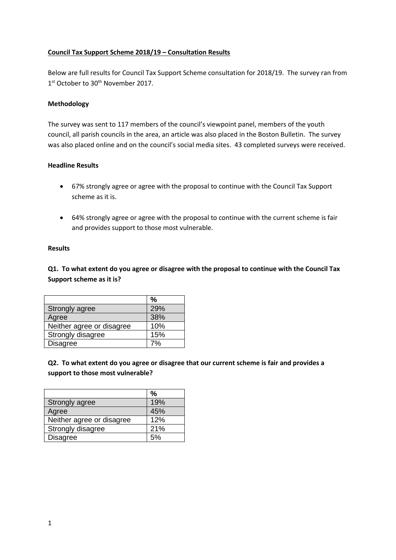# **Council Tax Support Scheme 2018/19 – Consultation Results**

Below are full results for Council Tax Support Scheme consultation for 2018/19. The survey ran from 1<sup>st</sup> October to 30<sup>th</sup> November 2017.

## **Methodology**

The survey was sent to 117 members of the council's viewpoint panel, members of the youth council, all parish councils in the area, an article was also placed in the Boston Bulletin. The survey was also placed online and on the council's social media sites. 43 completed surveys were received.

### **Headline Results**

- 67% strongly agree or agree with the proposal to continue with the Council Tax Support scheme as it is.
- 64% strongly agree or agree with the proposal to continue with the current scheme is fair and provides support to those most vulnerable.

#### **Results**

**Q1. To what extent do you agree or disagree with the proposal to continue with the Council Tax Support scheme as it is?**

|                           | %   |
|---------------------------|-----|
| Strongly agree            | 29% |
| Agree                     | 38% |
| Neither agree or disagree | 10% |
| Strongly disagree         | 15% |
| <b>Disagree</b>           |     |

**Q2. To what extent do you agree or disagree that our current scheme is fair and provides a support to those most vulnerable?**

|                           | $\frac{9}{6}$ |
|---------------------------|---------------|
| Strongly agree            | 19%           |
| Agree                     | 45%           |
| Neither agree or disagree | 12%           |
| Strongly disagree         | 21%           |
| <b>Disagree</b>           | 5%            |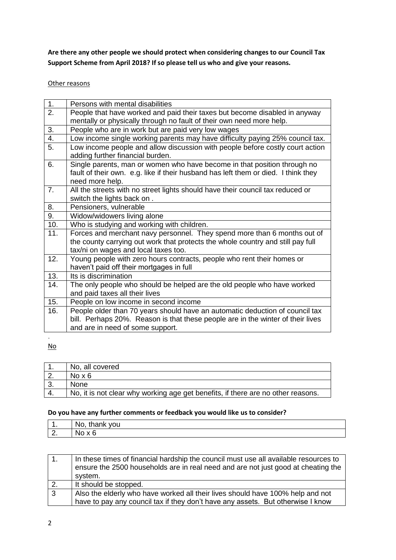**Are there any other people we should protect when considering changes to our Council Tax Support Scheme from April 2018? If so please tell us who and give your reasons.** 

## Other reasons

| 1.               | Persons with mental disabilities                                                   |
|------------------|------------------------------------------------------------------------------------|
| 2.               | People that have worked and paid their taxes but become disabled in anyway         |
|                  | mentally or physically through no fault of their own need more help.               |
| 3.               | People who are in work but are paid very low wages                                 |
| $\overline{4}$ . | Low income single working parents may have difficulty paying 25% council tax.      |
| 5.               | Low income people and allow discussion with people before costly court action      |
|                  | adding further financial burden.                                                   |
| 6.               | Single parents, man or women who have become in that position through no           |
|                  | fault of their own. e.g. like if their husband has left them or died. I think they |
|                  | need more help.                                                                    |
| 7 <sub>1</sub>   | All the streets with no street lights should have their council tax reduced or     |
|                  | switch the lights back on.                                                         |
| 8.               | Pensioners, vulnerable                                                             |
| 9.               | Widow/widowers living alone                                                        |
| 10.              | Who is studying and working with children.                                         |
| 11.              | Forces and merchant navy personnel. They spend more than 6 months out of           |
|                  | the county carrying out work that protects the whole country and still pay full    |
|                  | tax/ni on wages and local taxes too.                                               |
| 12.              | Young people with zero hours contracts, people who rent their homes or             |
|                  | haven't paid off their mortgages in full                                           |
| 13.              | Its is discrimination                                                              |
| 14.              | The only people who should be helped are the old people who have worked            |
|                  | and paid taxes all their lives                                                     |
| 15.              | People on low income in second income                                              |
| 16.              | People older than 70 years should have an automatic deduction of council tax       |
|                  | bill. Perhaps 20%. Reason is that these people are in the winter of their lives    |
|                  | and are in need of some support.                                                   |
|                  |                                                                                    |

No

| No, all covered                                                                  |
|----------------------------------------------------------------------------------|
| No $\times 6$                                                                    |
| <b>None</b>                                                                      |
| No, it is not clear why working age get benefits, if there are no other reasons. |

## **Do you have any further comments or feedback you would like us to consider?**

| .        | N0<br>$\mathbf{r}$<br>tha<br>.<br>vou |
|----------|---------------------------------------|
| <u>.</u> | N.                                    |

|              | In these times of financial hardship the council must use all available resources to<br>ensure the 2500 households are in real need and are not just good at cheating the<br>system. |
|--------------|--------------------------------------------------------------------------------------------------------------------------------------------------------------------------------------|
| 2.           | It should be stopped.                                                                                                                                                                |
| $\mathbf{3}$ | Also the elderly who have worked all their lives should have 100% help and not                                                                                                       |
|              | have to pay any council tax if they don't have any assets. But otherwise I know                                                                                                      |